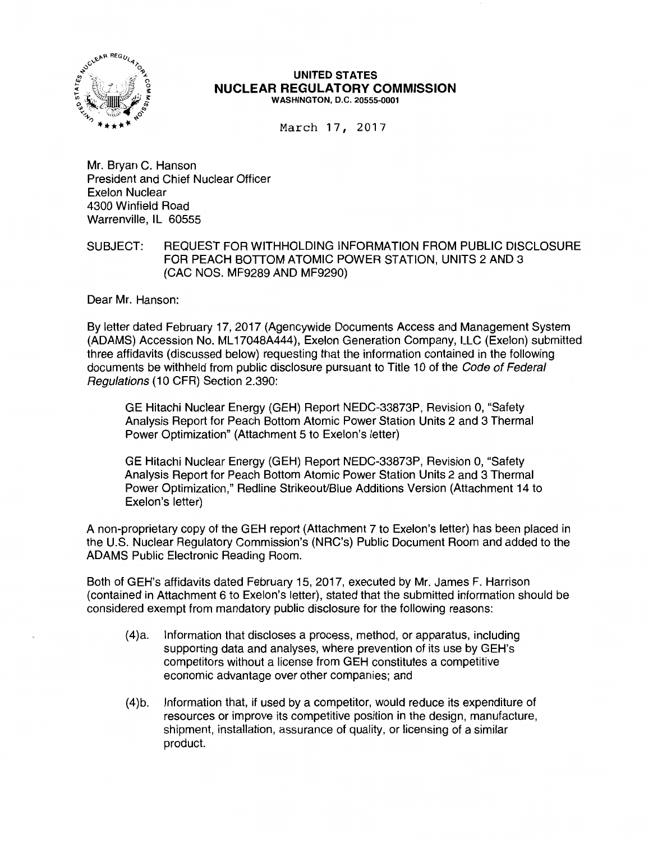

## **UNITED STATES NUCLEAR REGULATORY COMMISSION**  WASHINGTON, D.C. 20555-0001

March 17, 2017

Mr. Bryan C. Hanson President and Chief Nuclear Officer Exelon Nuclear 4300 Winfield Road Warrenville, IL 60555

## SUBJECT: REQUEST FOR WITHHOLDING INFORMATION FROM PUBLIC DISCLOSURE FOR PEACH BOTTOM ATOMIC POWER STATION, UNITS 2 AND 3 (CAC NOS. MF9289 AND MF9290)

Dear Mr. Hanson:

By letter dated February 17, 2017 (Agencywide Documents Access and Management System (ADAMS) Accession No. ML 17048A444), Exelon Generation Company, LLC (Exelon) submitted three affidavits (discussed below) requesting that the information contained in the following documents be withheld from public disclosure pursuant to Title 10 of the Code of Federal Regulations (10 CFR) Section 2.390:

GE Hitachi Nuclear Energy (GEH) Report NEDC-33873P, Revision 0, "Safety Analysis Report for Peach Bottom Atomic Power Station Units 2 and 3 Thermal Power Optimization" (Attachment 5 to Exelon's letter)

GE Hitachi Nuclear Energy (GEH) Report NEDC-33873P, Revision 0, "Safety Analysis Report for Peach Bottom Atomic Power Station Units 2 and 3 Thermal Power Optimization," Redline StrikeouVBlue Additions Version (Attachment 14 to Exelon's letter)

A non-proprietary copy of the GEH report (Attachment 7 to Exelon's letter) has been placed in the U.S. Nuclear Regulatory Commission's (NRC's) Public Document Room and added to the ADAMS Public Electronic Reading Room.

Both of GEH's affidavits dated February 15, 2017, executed by Mr. James F. Harrison (contained in Attachment 6 to Exelon's letter), stated that the submitted information should be considered exempt from mandatory public disclosure for the following reasons:

- (4)a. Information that discloses a process, method, or apparatus, including supporting data and analyses, where prevention of its use by GEH's competitors without a license from GEH constitutes a competitive economic advantage over other companies; and
- (4)b. Information that, if used by a competitor, would reduce its expenditure of resources or improve its competitive position in the design, manufacture, shipment, installation, assurance of quality, or licensing of a similar product.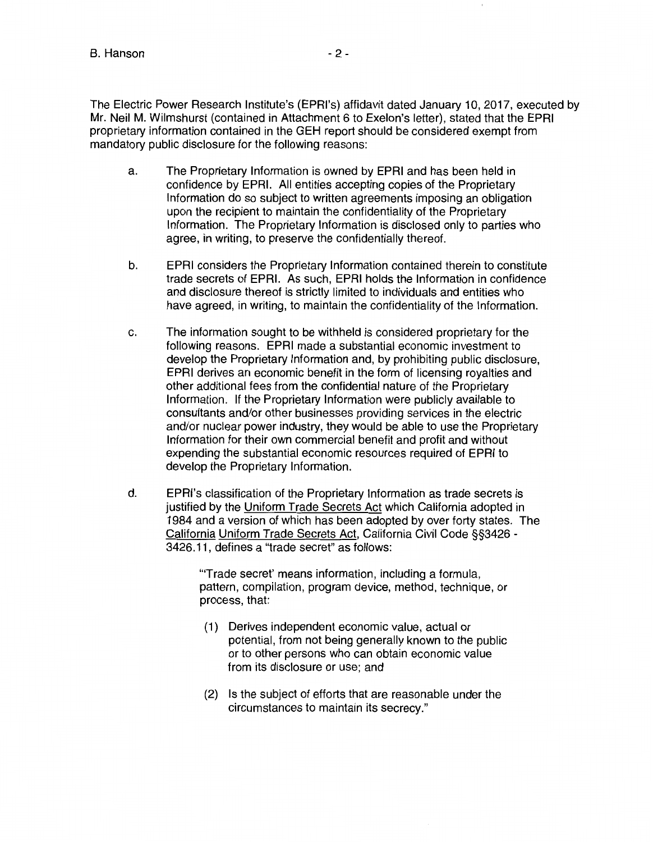The Electric Power Research lnstitute's (EPRl's) affidavit dated January 10, 2017, executed by Mr. Neil M. Wilmshurst (contained in Attachment 6 to Exelon's letter), stated that the EPRI proprietary information contained in the GEH report should be considered exempt from mandatory public disclosure for the following reasons:

- a. The Proprietary Information is owned by EPRI and has been held in confidence by EPRI. All entities accepting copies of the Proprietary Information do so subject to written agreements imposing an obligation upon the recipient to maintain the confidentiality of the Proprietary Information. The Proprietary Information is disclosed only to parties who agree, in writing, to preserve the confidentially thereof.
- b. EPRI considers the Proprietary Information contained therein to constitute trade secrets of EPRI. As such, EPRI holds the Information in confidence and disclosure thereof is strictly limited to individuals and entities who have agreed, in writing, to maintain the confidentiality of the Information.
- c. The information sought to be withheld is considered proprietary for the following reasons. EPRI made a substantial economic investment to develop the Proprietary Information and, by prohibiting public disclosure, EPRI derives an economic benefit in the form of licensing royalties and other additional fees from the confidential nature of the Proprietary Information. If the Proprietary Information were publicly available to consultants and/or other businesses providing services in the electric and/or nuclear power industry, they would be able to use the Proprietary Information for their own commercial benefit and profit and without expending the substantial economic resources required of EPRI to develop the Proprietary Information.
- d. EPRl's classification of the Proprietary Information as trade secrets is justified by the Uniform Trade Secrets Act which California adopted in 1984 and a version of which has been adopted by over forty states. The California Uniform Trade Secrets Act, California Civil Code §§3426 - 3426.11, defines a "trade secret" as follows:

'"Trade secret' means information, including a formula, pattern, compilation, program device, method, technique, or process, that:

- (1) Derives independent economic value, actual or potential, from not being generally known to the public or to other persons who can obtain economic value from its disclosure or use; and
- (2) Is the subject of efforts that are reasonable under the circumstances to maintain its secrecy."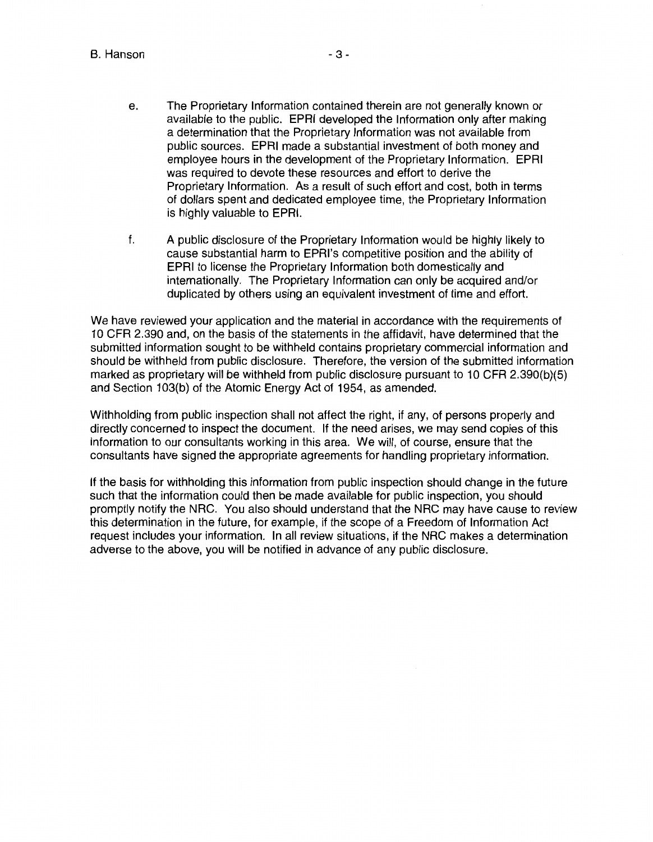B. Hanson

- e. The Proprietary Information contained therein are not generally known or available to the public. EPRI developed the Information only after making a determination that the Proprietary Information was not available from public sources. EPRI made a substantial investment of both money and employee hours in the development of the Proprietary Information. EPRI was required to devote these resources and effort to derive the Proprietary Information. As a result of such effort and cost, both in terms of dollars spent and dedicated employee time, the Proprietary Information is highly valuable to EPRI.
- f. A public disclosure of the Proprietary Information would be highly likely to cause substantial harm to EPRl's competitive position and the ability of EPRI to license the Proprietary Information both domestically and internationally. The Proprietary Information can only be acquired and/or duplicated by others using an equivalent investment of time and effort.

We have reviewed your application and the material in accordance with the requirements of 10 CFR 2.390 and, on the basis of the statements in the affidavit, have determined that the submitted information sought to be withheld contains proprietary commercial information and should be withheld from public disclosure. Therefore, the version of the submitted information marked as proprietary will be withheld from public disclosure pursuant to 10 CFR 2.390(b)(5) and Section 103(b) of the Atomic Energy Act of 1954, as amended.

Withholding from public inspection shall not affect the right, if any, of persons properly and directly concerned to inspect the document. If the need arises, we may send copies of this information to our consultants working in this area. We will, of course, ensure that the consultants have signed the appropriate agreements for handling proprietary information.

If the basis for withholding this information from public inspection should change in the future such that the information could then be made available for public inspection, you should promptly notify the NRC. You also should understand that the NRC may have cause to review this determination in the future, for example, if the scope of a Freedom of Information Act request includes your information. In all review situations, if the NRC makes a determination adverse to the above, you will be notified in advance of any public disclosure.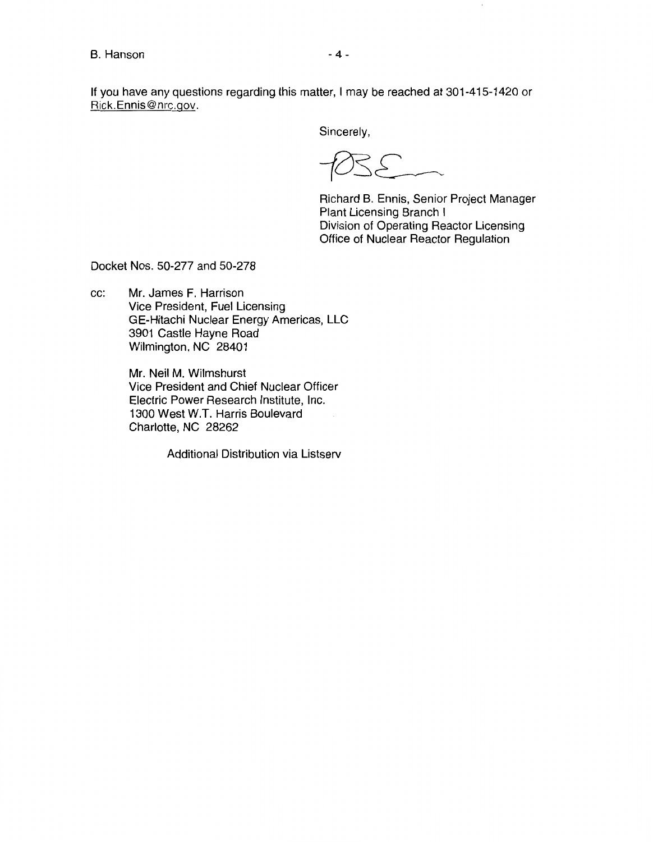If you have any questions regarding this matter, I may be reached at 301-415-1420 or Rick.Ennis@nrc.gov.

Sincerely,

 $PSE$ 

Richard B. Ennis, Senior Project Manager Plant Licensing Branch I Division of Operating Reactor Licensing Office of Nuclear Reactor Regulation

Docket Nos. 50-277 and 50-278

cc: Mr. James F. Harrison Vice President, Fuel Licensing GE-Hitachi Nuclear Energy Americas, LLC 3901 Castle Hayne Road Wilmington, NC 28401

> Mr. Neil M. Wilmshurst Vice President and Chief Nuclear Officer Electric Power Research Institute, Inc. 1300 West W.T. Harris Boulevard Charlotte, NC 28262

> > Additional Distribution via Listserv